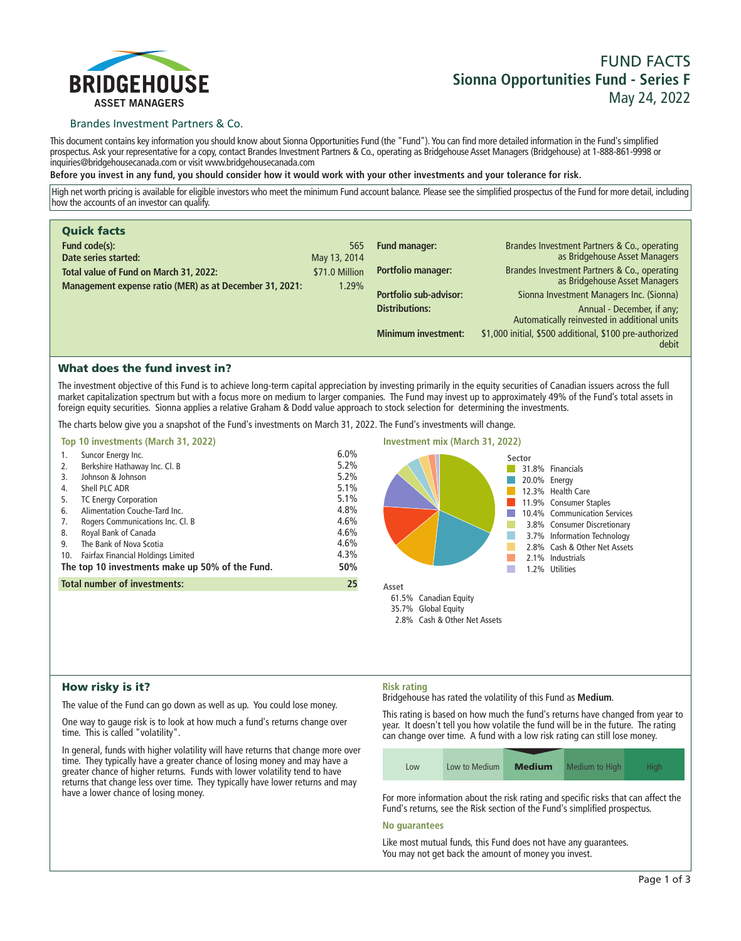

# **FUND FACTS Sionna Opportunities Fund - Series F May 24, 2022**

### Brandes Investment Partners & Co.

**This document contains key information you should know about Sionna Opportunities Fund (the "Fund"). You can find more detailed information in the Fund's simplified prospectus. Ask your representative for a copy, contact Brandes Investment Partners & Co., operating as Bridgehouse Asset Managers (Bridgehouse) at 1-888-861-9998 or inquiries@bridgehousecanada.com or visit www.bridgehousecanada.com**

**Before you invest in any fund, you should consider how it would work with your other investments and your tolerance for risk.**

**High net worth pricing is available for eligible investors who meet the minimum Fund account balance. Please see the simplified prospectus of the Fund for more detail, including how the accounts of an investor can qualify.**

| <b>Quick facts</b>                                      |                |                            |                                                                               |
|---------------------------------------------------------|----------------|----------------------------|-------------------------------------------------------------------------------|
| Fund code(s):                                           | 565            | <b>Fund manager:</b>       | Brandes Investment Partners & Co., operating                                  |
| Date series started:                                    | May 13, 2014   |                            | as Bridgehouse Asset Managers                                                 |
| Total value of Fund on March 31, 2022:                  | \$71.0 Million | Portfolio manager:         | Brandes Investment Partners & Co., operating<br>as Bridgehouse Asset Managers |
| Management expense ratio (MER) as at December 31, 2021: | 1.29%          |                            |                                                                               |
|                                                         |                | Portfolio sub-advisor:     | Sionna Investment Managers Inc. (Sionna)                                      |
|                                                         |                | <b>Distributions:</b>      | Annual - December, if any;<br>Automatically reinvested in additional units    |
|                                                         |                | <b>Minimum investment:</b> | \$1,000 initial, \$500 additional, \$100 pre-authorized<br>debit              |

### What does the fund invest in?

**The investment objective of this Fund is to achieve long-term capital appreciation by investing primarily in the equity securities of Canadian issuers across the full market capitalization spectrum but with a focus more on medium to larger companies. The Fund may invest up to approximately 49% of the Fund's total assets in foreign equity securities. Sionna applies a relative Graham & Dodd value approach to stock selection for determining the investments.**

**The charts below give you a snapshot of the Fund's investments on March 31, 2022. The Fund's investments will change.**



### How risky is it?

**The value of the Fund can go down as well as up. You could lose money.**

**One way to gauge risk is to look at how much a fund's returns change over time. This is called "volatility".**

**In general, funds with higher volatility will have returns that change more over time. They typically have a greater chance of losing money and may have a greater chance of higher returns. Funds with lower volatility tend to have returns that change less over time. They typically have lower returns and may have a lower chance of losing money.**

### **Risk rating**

**Bridgehouse has rated the volatility of this Fund as Medium.**

**This rating is based on how much the fund's returns have changed from year to year. It doesn't tell you how volatile the fund will be in the future. The rating can change over time. A fund with a low risk rating can still lose money.**

| Low | Low to Medium | <b>Medium</b> | Medium to High | Hiah |
|-----|---------------|---------------|----------------|------|

**For more information about the risk rating and specific risks that can affect the Fund's returns, see the Risk section of the Fund's simplified prospectus.**

#### **No guarantees**

**Like most mutual funds, this Fund does not have any guarantees. You may not get back the amount of money you invest.**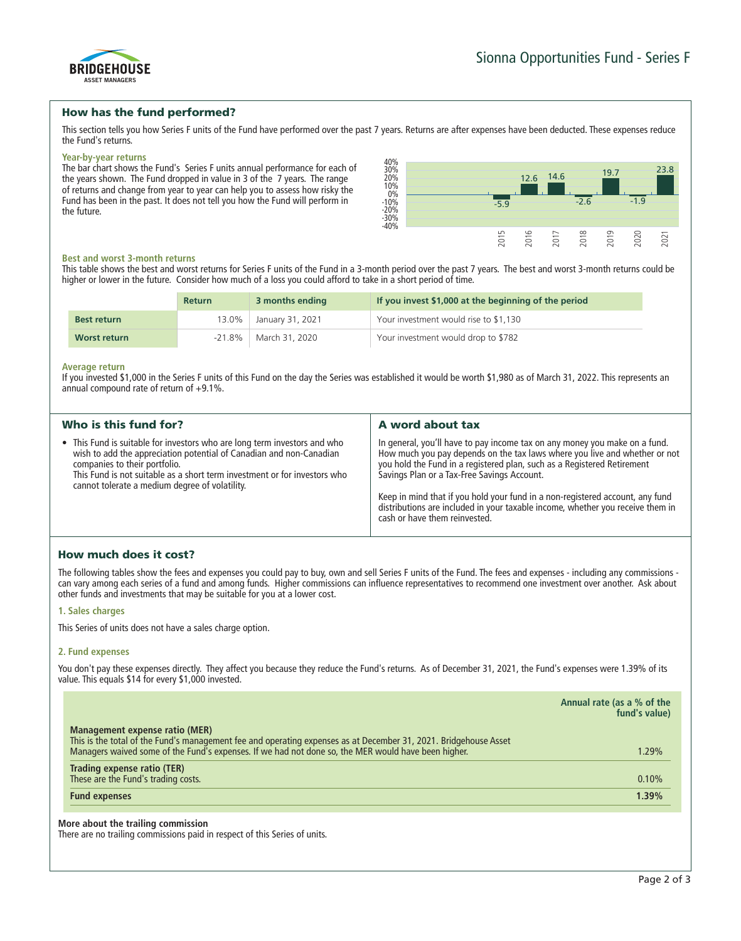

### How has the fund performed?

**This section tells you how Series F units of the Fund have performed over the past 7 years. Returns are after expenses have been deducted. These expenses reduce the Fund's returns.**

#### **Year-by-year returns**

**The bar chart shows the Fund's Series F units annual performance for each of the years shown. The Fund dropped in value in 3 of the 7 years. The range of returns and change from year to year can help you to assess how risky the Fund has been in the past. It does not tell you how the Fund will perform in the future.**



#### **Best and worst 3-month returns**

**This table shows the best and worst returns for Series F units of the Fund in a 3-month period over the past 7 years. The best and worst 3-month returns could be higher or lower in the future. Consider how much of a loss you could afford to take in a short period of time.**

|                    | <b>Return</b> | 3 months ending  | If you invest \$1,000 at the beginning of the period |
|--------------------|---------------|------------------|------------------------------------------------------|
| <b>Best return</b> | 13.0%         | Sanuary 31, 2021 | Your investment would rise to \$1,130                |
| Worst return       | $-21.8\%$     | March 31, 2020   | Your investment would drop to \$782                  |

#### **Average return**

**If you invested \$1,000 in the Series F units of this Fund on the day the Series was established it would be worth \$1,980 as of March 31, 2022. This represents an annual compound rate of return of +9.1%.**

| Who is this fund for?                                                                                                                                                                                                                                                                                            | A word about tax                                                                                                                                                                                                                                                                                                                                                                                                                                                                       |
|------------------------------------------------------------------------------------------------------------------------------------------------------------------------------------------------------------------------------------------------------------------------------------------------------------------|----------------------------------------------------------------------------------------------------------------------------------------------------------------------------------------------------------------------------------------------------------------------------------------------------------------------------------------------------------------------------------------------------------------------------------------------------------------------------------------|
| • This Fund is suitable for investors who are long term investors and who<br>wish to add the appreciation potential of Canadian and non-Canadian<br>companies to their portfolio.<br>This Fund is not suitable as a short term investment or for investors who<br>cannot tolerate a medium degree of volatility. | In general, you'll have to pay income tax on any money you make on a fund.<br>How much you pay depends on the tax laws where you live and whether or not<br>you hold the Fund in a registered plan, such as a Registered Retirement<br>Savings Plan or a Tax-Free Savings Account.<br>Keep in mind that if you hold your fund in a non-registered account, any fund<br>distributions are included in your taxable income, whether you receive them in<br>cash or have them reinvested. |

# How much does it cost?

**The following tables show the fees and expenses you could pay to buy, own and sell Series F units of the Fund. The fees and expenses - including any commissions can vary among each series of a fund and among funds. Higher commissions can influence representatives to recommend one investment over another. Ask about other funds and investments that may be suitable for you at a lower cost.**

### **1. Sales charges**

**This Series of units does not have a sales charge option.**

### **2. Fund expenses**

You don't pay these expenses directly. They affect you because they reduce the Fund's returns. As of December 31, 2021, the Fund's expenses were 1.39% of its **value. This equals \$14 for every \$1,000 invested.**

|                                                                                                                                                                                                                         | Annual rate (as a % of the<br>fund's value) |
|-------------------------------------------------------------------------------------------------------------------------------------------------------------------------------------------------------------------------|---------------------------------------------|
| Management expense ratio (MER)                                                                                                                                                                                          |                                             |
| This is the total of the Fund's management fee and operating expenses as at December 31, 2021. Bridgehouse Asset<br>Managers waived some of the Fund's expenses. If we had not done so, the MER would have been higher. | 1.29%                                       |
| Trading expense ratio (TER)<br>These are the Fund's trading costs.                                                                                                                                                      | 0.10%                                       |
| <b>Fund expenses</b>                                                                                                                                                                                                    | 1.39%                                       |
|                                                                                                                                                                                                                         |                                             |

### **More about the trailing commission**

**There are no trailing commissions paid in respect of this Series of units.**